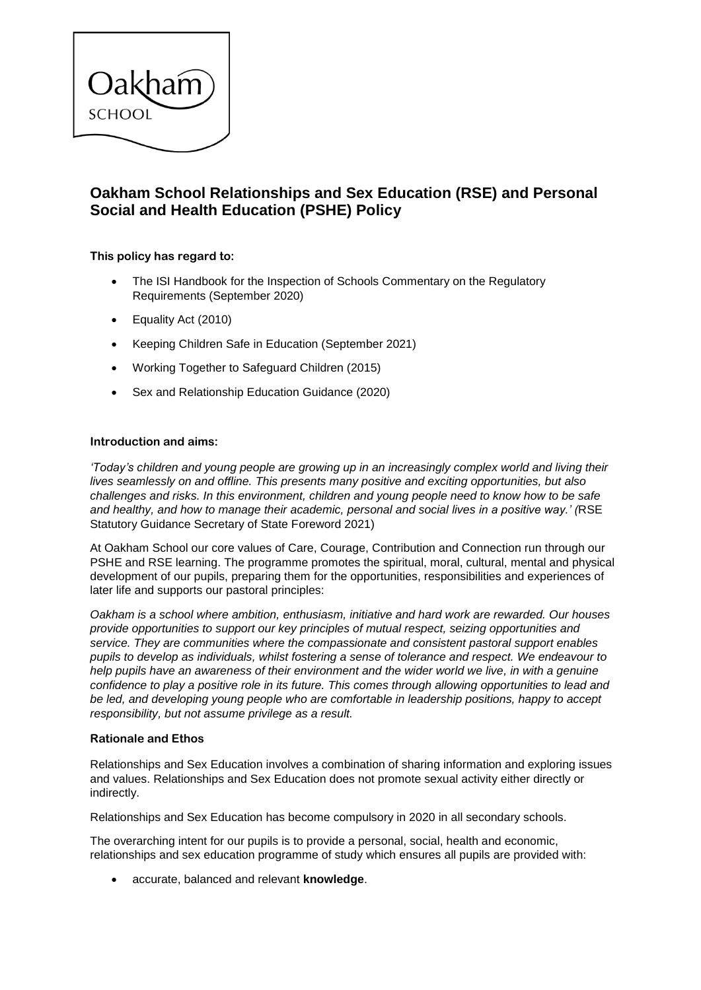

# **Oakham School Relationships and Sex Education (RSE) and Personal Social and Health Education (PSHE) Policy**

# **This policy has regard to:**

- The ISI Handbook for the Inspection of Schools Commentary on the Regulatory Requirements (September 2020)
- Equality Act (2010)
- Keeping Children Safe in Education (September 2021)
- Working Together to Safeguard Children (2015)
- Sex and Relationship Education Guidance (2020)

## **Introduction and aims:**

*'Today's children and young people are growing up in an increasingly complex world and living their lives seamlessly on and offline. This presents many positive and exciting opportunities, but also challenges and risks. In this environment, children and young people need to know how to be safe and healthy, and how to manage their academic, personal and social lives in a positive way.' (*RSE Statutory Guidance Secretary of State Foreword 2021)

At Oakham School our core values of Care, Courage, Contribution and Connection run through our PSHE and RSE learning. The programme promotes the spiritual, moral, cultural, mental and physical development of our pupils, preparing them for the opportunities, responsibilities and experiences of later life and supports our pastoral principles:

*Oakham is a school where ambition, enthusiasm, initiative and hard work are rewarded. Our houses provide opportunities to support our key principles of mutual respect, seizing opportunities and service. They are communities where the compassionate and consistent pastoral support enables pupils to develop as individuals, whilst fostering a sense of tolerance and respect. We endeavour to help pupils have an awareness of their environment and the wider world we live, in with a genuine confidence to play a positive role in its future. This comes through allowing opportunities to lead and be led, and developing young people who are comfortable in leadership positions, happy to accept responsibility, but not assume privilege as a result.*

### **Rationale and Ethos**

Relationships and Sex Education involves a combination of sharing information and exploring issues and values. Relationships and Sex Education does not promote sexual activity either directly or indirectly.

Relationships and Sex Education has become compulsory in 2020 in all secondary schools.

The overarching intent for our pupils is to provide a personal, social, health and economic, relationships and sex education programme of study which ensures all pupils are provided with:

accurate, balanced and relevant **knowledge**.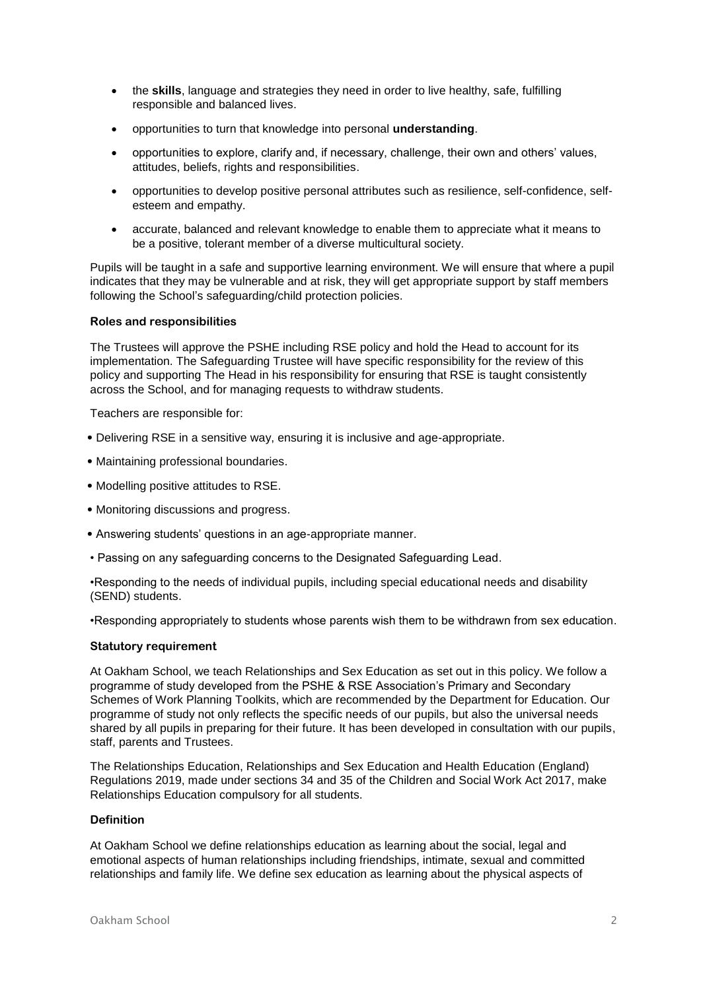- the **skills**, language and strategies they need in order to live healthy, safe, fulfilling responsible and balanced lives.
- opportunities to turn that knowledge into personal **understanding**.
- opportunities to explore, clarify and, if necessary, challenge, their own and others' values, attitudes, beliefs, rights and responsibilities.
- opportunities to develop positive personal attributes such as resilience, self-confidence, selfesteem and empathy.
- accurate, balanced and relevant knowledge to enable them to appreciate what it means to be a positive, tolerant member of a diverse multicultural society.

Pupils will be taught in a safe and supportive learning environment. We will ensure that where a pupil indicates that they may be vulnerable and at risk, they will get appropriate support by staff members following the School's safeguarding/child protection policies.

### **Roles and responsibilities**

The Trustees will approve the PSHE including RSE policy and hold the Head to account for its implementation. The Safeguarding Trustee will have specific responsibility for the review of this policy and supporting The Head in his responsibility for ensuring that RSE is taught consistently across the School, and for managing requests to withdraw students.

Teachers are responsible for:

- Delivering RSE in a sensitive way, ensuring it is inclusive and age-appropriate.
- Maintaining professional boundaries.
- Modelling positive attitudes to RSE.
- Monitoring discussions and progress.
- Answering students' questions in an age-appropriate manner.
- Passing on any safeguarding concerns to the Designated Safeguarding Lead.

•Responding to the needs of individual pupils, including special educational needs and disability (SEND) students.

•Responding appropriately to students whose parents wish them to be withdrawn from sex education.

### **Statutory requirement**

At Oakham School, we teach Relationships and Sex Education as set out in this policy. We follow a programme of study developed from the PSHE & RSE Association's Primary and Secondary Schemes of Work Planning Toolkits, which are recommended by the Department for Education. Our programme of study not only reflects the specific needs of our pupils, but also the universal needs shared by all pupils in preparing for their future. It has been developed in consultation with our pupils, staff, parents and Trustees.

The Relationships Education, Relationships and Sex Education and Health Education (England) Regulations 2019, made under sections 34 and 35 of the Children and Social Work Act 2017, make Relationships Education compulsory for all students.

## **Definition**

At Oakham School we define relationships education as learning about the social, legal and emotional aspects of human relationships including friendships, intimate, sexual and committed relationships and family life. We define sex education as learning about the physical aspects of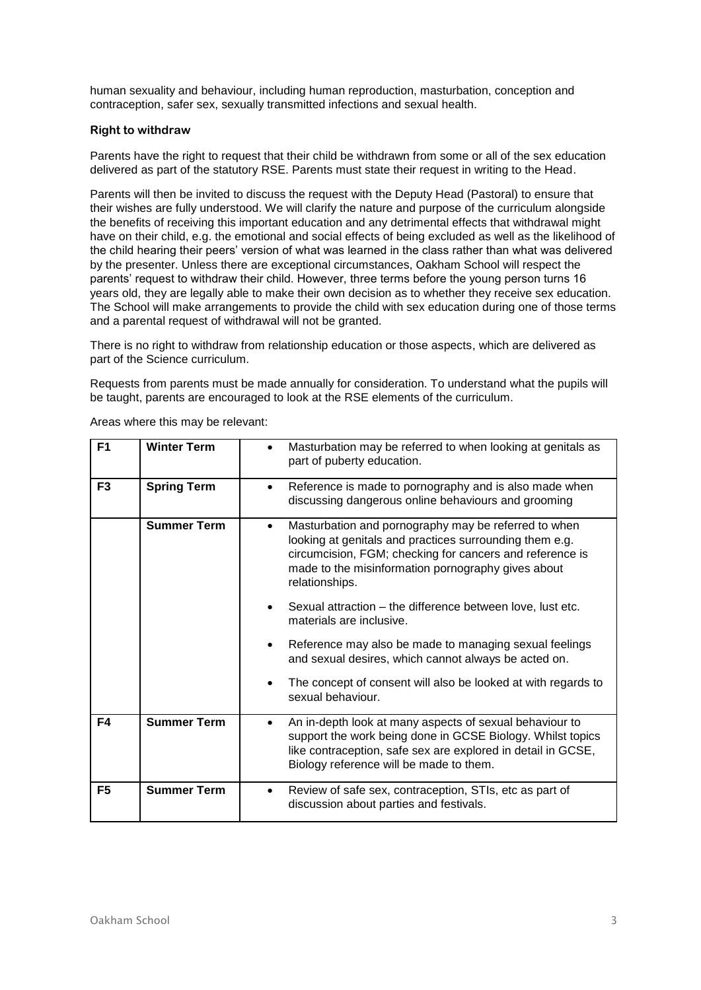human sexuality and behaviour, including human reproduction, masturbation, conception and contraception, safer sex, sexually transmitted infections and sexual health.

# **Right to withdraw**

Parents have the right to request that their child be withdrawn from some or all of the sex education delivered as part of the statutory RSE. Parents must state their request in writing to the Head.

Parents will then be invited to discuss the request with the Deputy Head (Pastoral) to ensure that their wishes are fully understood. We will clarify the nature and purpose of the curriculum alongside the benefits of receiving this important education and any detrimental effects that withdrawal might have on their child, e.g. the emotional and social effects of being excluded as well as the likelihood of the child hearing their peers' version of what was learned in the class rather than what was delivered by the presenter. Unless there are exceptional circumstances, Oakham School will respect the parents' request to withdraw their child. However, three terms before the young person turns 16 years old, they are legally able to make their own decision as to whether they receive sex education. The School will make arrangements to provide the child with sex education during one of those terms and a parental request of withdrawal will not be granted.

There is no right to withdraw from relationship education or those aspects, which are delivered as part of the Science curriculum.

Requests from parents must be made annually for consideration. To understand what the pupils will be taught, parents are encouraged to look at the RSE elements of the curriculum.

| F <sub>1</sub> | <b>Winter Term</b> | Masturbation may be referred to when looking at genitals as<br>part of puberty education.                                                                                                                                                                |
|----------------|--------------------|----------------------------------------------------------------------------------------------------------------------------------------------------------------------------------------------------------------------------------------------------------|
| F <sub>3</sub> | <b>Spring Term</b> | Reference is made to pornography and is also made when<br>٠<br>discussing dangerous online behaviours and grooming                                                                                                                                       |
|                | <b>Summer Term</b> | Masturbation and pornography may be referred to when<br>٠<br>looking at genitals and practices surrounding them e.g.<br>circumcision, FGM; checking for cancers and reference is<br>made to the misinformation pornography gives about<br>relationships. |
|                |                    | Sexual attraction – the difference between love, lust etc.<br>materials are inclusive.                                                                                                                                                                   |
|                |                    | Reference may also be made to managing sexual feelings<br>$\bullet$<br>and sexual desires, which cannot always be acted on.                                                                                                                              |
|                |                    | The concept of consent will also be looked at with regards to<br>sexual behaviour.                                                                                                                                                                       |
| F4             | <b>Summer Term</b> | An in-depth look at many aspects of sexual behaviour to<br>$\bullet$<br>support the work being done in GCSE Biology. Whilst topics<br>like contraception, safe sex are explored in detail in GCSE,<br>Biology reference will be made to them.            |
| F <sub>5</sub> | <b>Summer Term</b> | Review of safe sex, contraception, STIs, etc as part of<br>٠<br>discussion about parties and festivals.                                                                                                                                                  |

Areas where this may be relevant: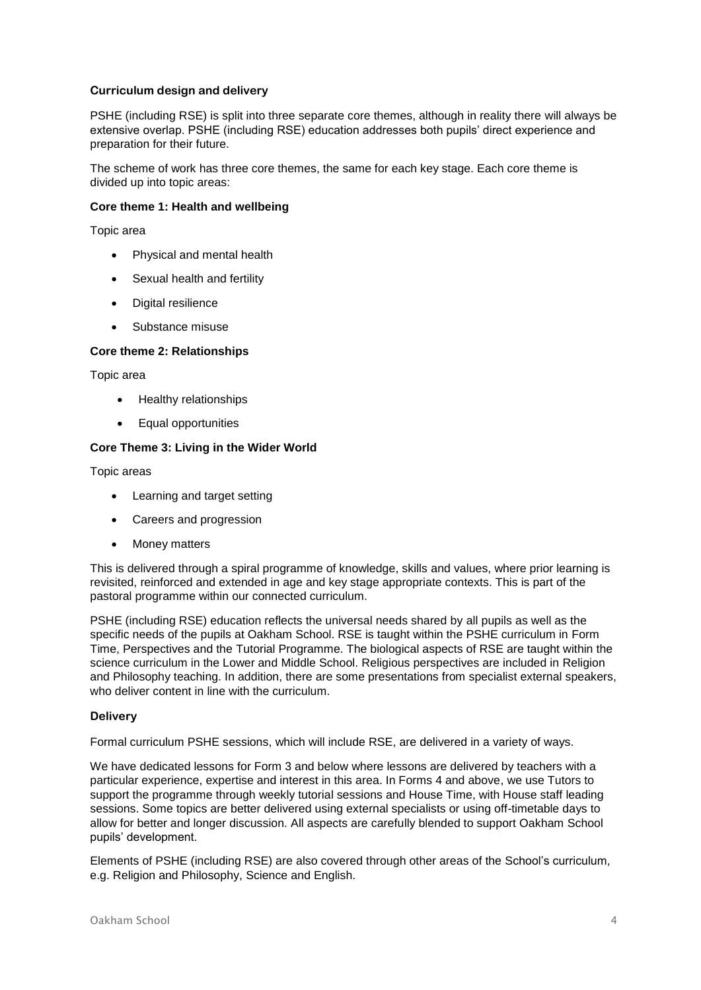# **Curriculum design and delivery**

PSHE (including RSE) is split into three separate core themes, although in reality there will always be extensive overlap. PSHE (including RSE) education addresses both pupils' direct experience and preparation for their future.

The scheme of work has three core themes, the same for each key stage. Each core theme is divided up into topic areas:

## **Core theme 1: Health and wellbeing**

Topic area

- Physical and mental health
- Sexual health and fertility
- Digital resilience
- Substance misuse

## **Core theme 2: Relationships**

Topic area

- Healthy relationships
- Equal opportunities

### **Core Theme 3: Living in the Wider World**

Topic areas

- Learning and target setting
- Careers and progression
- Money matters

This is delivered through a spiral programme of knowledge, skills and values, where prior learning is revisited, reinforced and extended in age and key stage appropriate contexts. This is part of the pastoral programme within our connected curriculum.

PSHE (including RSE) education reflects the universal needs shared by all pupils as well as the specific needs of the pupils at Oakham School. RSE is taught within the PSHE curriculum in Form Time, Perspectives and the Tutorial Programme. The biological aspects of RSE are taught within the science curriculum in the Lower and Middle School. Religious perspectives are included in Religion and Philosophy teaching. In addition, there are some presentations from specialist external speakers, who deliver content in line with the curriculum.

### **Delivery**

Formal curriculum PSHE sessions, which will include RSE, are delivered in a variety of ways.

We have dedicated lessons for Form 3 and below where lessons are delivered by teachers with a particular experience, expertise and interest in this area. In Forms 4 and above, we use Tutors to support the programme through weekly tutorial sessions and House Time, with House staff leading sessions. Some topics are better delivered using external specialists or using off-timetable days to allow for better and longer discussion. All aspects are carefully blended to support Oakham School pupils' development.

Elements of PSHE (including RSE) are also covered through other areas of the School's curriculum, e.g. Religion and Philosophy, Science and English.